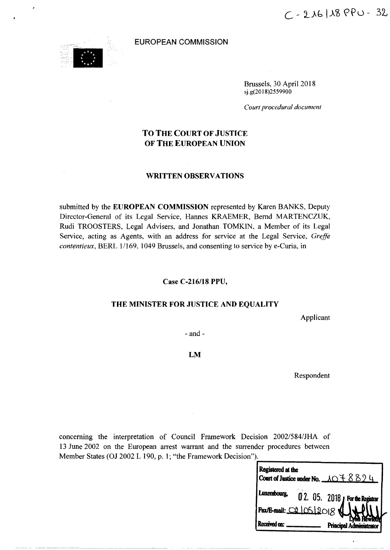

#### **EUROPEAN COMMISSION**

Brussels, 30 April 2018 sj.g(20 18)2559900

*Court procedural document*

# **TO THE COURT OF JUSTICE OF THE EUROPEAN UNION**

# **WRITTEN OBSERV ATIONS**

submitted by the **EUROPEAN COMMISSION** represented by Karen BANKS, Deputy Director-General of its Legal Service, Hannes KRAEMER, Bernd MARTENCZUK, Rudi TROOSTERS, Legal Advisers, and Jonathan TOMKIN, a Member of its Legal Service, acting as Agents, with an address for service at the Legal Service, *Greffe contentieux, BERL 1/169, 1049 Brussels, and consenting to service by e-Curia, in* 

#### Case *C-216/18* **PPU,**

# **THE MINISTER FOR JUSTICE AND EQUALITY**

Applicant

- and-

## **LM**

Respondent

concerning the interpretation of Council Framework Decision 2002/584/JHA of 13 June 2002 on the European arrest warrant and the surrender procedures between Member States (OJ 2002 L 190, p. 1; "the Framework Decision").

| Registered at the | Court of Justice under No. $\angle \triangle \angle \angle \angle$ 9 |  |
|-------------------|----------------------------------------------------------------------|--|
| Luxembourg,       | 0 2. 05. 2018 <b>Por the Registrar</b>                               |  |
|                   | Fax/E-mail: 02/05/2018                                               |  |
|                   | <b>Principal Administrator</b>                                       |  |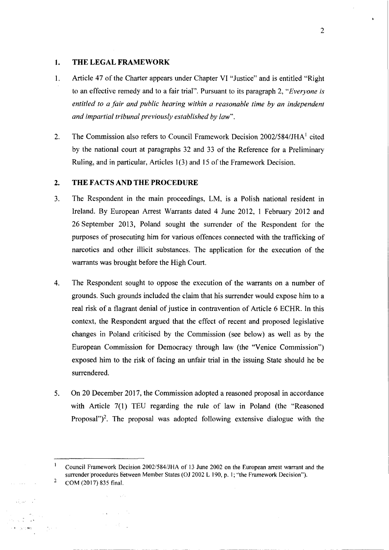# 1. THE LEGAL FRAMEWORK

- 1. Article 47 of the Charter appears under Chapter VI "Justice" and is entitled "Right to an effective remedy and to a fair trial". Pursuant to its paragraph 2, *"Everyone is entitled to a fair and public hearing within a reasonable time by an independent and impartial tribunal previously established by law".*
- 2. The Commission also refers to Council Framework Decision *2002/584/JHA<sup>1</sup>* cited by the national court at paragraphs 32 and 33 of the Reference for a Preliminary Ruling, and in particular, Articles 1(3) and 15 of the Framework Decision.

# 2. THE FACTS AND THE PROCEDURE

is an

 $\sim 10^{-10}$  and  $\sim 10^{-10}$  $\mathcal{A}=\mathcal{A}(\mathcal{A})$ 

'"

 $\frac{1}{2} \sqrt{1 - \lambda^2}$ 

 $\sqrt{\frac{1}{3}}$  , and  $\sqrt{3}$ 

- 3. The Respondent in the main proceedings, LM, is a Polish national resident in Ireland. By European Arrest Warrants dated 4 June 2012, 1 February 2012 and 26 September 2013, Poland sought the surrender of the Respondent for the purposes of prosecuting him for various offences connected with the trafficking of narcotics and other illicit substances. The application for the execution of the warrants was brought before the High Court.
- 4. The Respondent sought to oppose the execution of the warrants on a number of grounds. Such grounds included the claim that his surrender would expose him to a real risk of a flagrant denial of justice in contravention of Article 6 ECHR. In this context, the Respondent argued that the effect of recent and proposed legislative changes in Poland criticised by the Commission (see below) as well as by the European Commission for Democracy through law (the "Venice Commission") exposed him to the risk of facing an unfair trial in the issuing State should he be surrendered.
- 5. On 20 December 2017, the Commission adopted a reasoned proposal in accordance with Article 7(1) TEU regarding the rule of law in Poland (the "Reasoned Proposal")<sup>2</sup>. The proposal was adopted following extensive dialogue with the

2

 $\mathbf{1}$ Council Framework Decision *20021584/JHA* of 13 June 2002 on the European arrest warrant and the surrender procedures between Member States (OJ 2002 L 190, p. 1; "the Framework Decision"). 2 COM (2017) 835 final.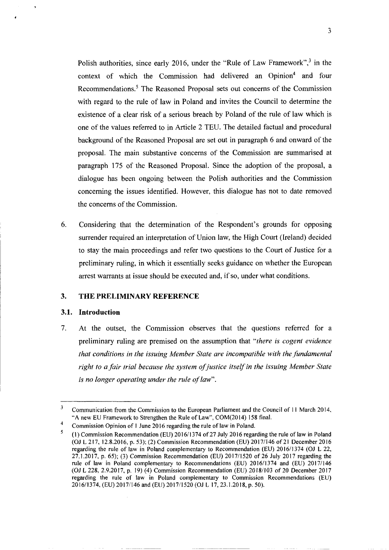Polish authorities, since early 2016, under the "Rule of Law Framework", $3$  in the context of which the Commission had delivered an Opinion<sup>4</sup> and four Recommendations.<sup>5</sup> The Reasoned Proposal sets out concerns of the Commission with regard to the rule of law in Poland and invites the Council to determine the existence of a clear risk of a serious breach by Poland of the rule of law which *is* one of the values referred to in Article 2 TEU. The detailed factual and procedural background of the Reasoned Proposal are set out in paragraph 6 and onward of the proposal. The main substantive concerns of the Commission are summarised at paragraph 175 of the Reasoned Proposal. Since the adoption of the proposal, a dialogue has been ongoing between the Polish authorities and the Commission concerning the issues identified. However, this dialogue has not to date removed the concerns of the Commission.

6. Considering that the determination of the Respondent's grounds for opposing surrender required an interpretation of Union law, the High Court (Ireland) decided to stay the main proceedings and refer two questions to the Court of Justice for a preliminary ruling, in which it essentially seeks guidance on whether the European arrest warrants at issue should be executed and, if so, under what conditions.

# **3. THE PRELIMINARY REFERENCE**

## **3.1. Introduction**

7. At the outset, the Commission observes that the questions referred for a preliminary ruling are premised 011 the assumption that *"there is cogent evidence that conditions in the issuing Member State are incompatible with the fundamental right to afair trial because the system ofjustice itselfin the issuing Member State is no longer operating under the rule of law",*

<sup>&</sup>lt;sup>3</sup> Communication from the Commission to the European Parliament and the Council of 11 March 2014, "A new EU Framework to Strengthen the Rule of Law", COM(2014) 158 final.

Commission Opinion of I June 2016 regarding the rule of law in Poland. 4

<sup>(1)</sup> Commission Recommendation (EU) 2016/1374 of 27 July 2016 regarding the rule of law in Poland (OJ L 217. 12.8.2016, p. 53); (2) Commission Recommendation (EU) 2017/146 of21 December 2016 regarding the rule of law in Poland complementary to Recommendation (EU) 2016/1374 (OJ L 22, 27.1.2017, p. 65); (3) Commission Recommendation (EU) 2017/1520 of 26 July 2017 regarding the rule of law in Poland complementary to Recommendations (EU) 2016/1374 and (EU) 20171146 (OJ L 228,2.9.2017. p. 19) (4) Commission Recommendation (EU) *2018/103* of 20 December *2017* regarding the rule of law in Poland complementary to Commission Recommendations (EU) 2016/1374. (EU) 20171146 and (EU) *2017/1520* (OJ L 17,23.1.2018, p. *50).* 5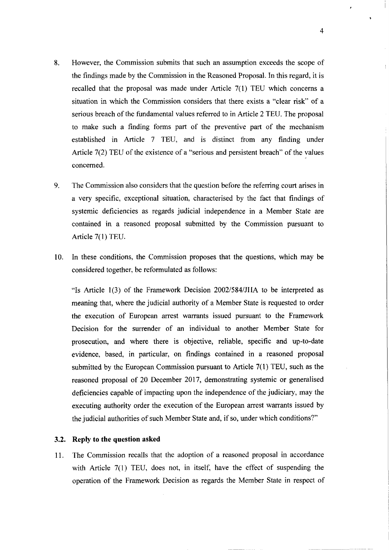- 8. However, the Commission submits that such an assumption exceeds the scope of the findings made by the Commission in the Reasoned Proposal. In this regard, it is recalled that the proposal was made under Article  $7(1)$  TEU which concerns a situation in which the Commission considers that there exists a "clear risk" of a serious breach of the fundamental values referred to in Article 2 TEU. The proposal to make such a finding forms part of the preventive part of the mechanism established in Article 7 TEU, and is distinct from any finding under Article 7(2) TEU of the existence of a "serious and persistent breach" of the values concerned.
- 9. The Commission also considers that the question before the referring court arises in a very specific, exceptional situation, characterised by the fact that findings of systemic deficiencies as regards judicial independence in a Member State are contained in a reasoned proposal submitted by the Commission pursuant to Article 7(1) TEU.
- 10. In these conditions, the Commission proposes that the questions, which may be considered together, be reformulated as follows:

"Is Article 1(3) of the Framework Decision *2002/584/JIIA* to be interpreted as meaning that, where the judicial authority of a Member State is requested to order the execution of European arrest warrants issued pursuant to the Framework Decision for the surrender of an individual to another Member State for prosecution, and where there is objective, reliable, specific and up-to-date evidence, based, in particular, on findings contained in a reasoned proposal submitted by the European Commission pursuant to Article 7(1) TEU, such as the reasoned proposal of 20 December 2017, demonstrating systemic or generalised deficiencies capable of impacting upon the independence of the judiciary, may the executing authority order the execution of the European arrest warrants issued by the judicial authorities of such Member State and, if so, under which conditions?"

## 3.2. **Reply to the question asked**

11. The Commission recalls that the adoption of a reasoned proposal in accordance with Article 7(1) TEU, does not, in itself, have the effect of suspending the operation of the Framework Decision as regards the Member State in respect of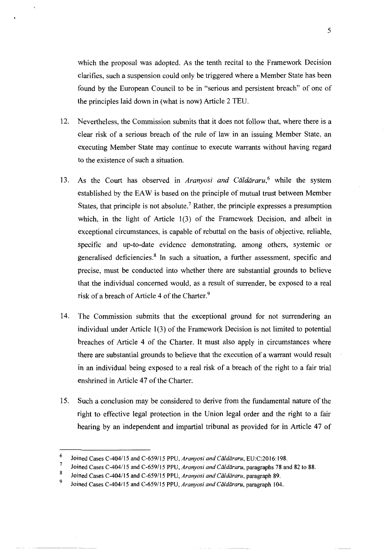which the proposal was adopted. As the tenth recital to the Framework Decision clarifies, such a suspension could only be triggered where a Member State has been found by the European Council to be in "serious and persistent breach" of one of the principles laid down in (what is now) Article 2 TED.

- 12. Nevertheless, the Commission submits that it does not follow that, where there is a clear risk of a serious breach of the rule of law in an issuing Member State, an executing Member State may continue to execute warrants without having regard to the existence of such a situation.
- 13. As the Court has observed in *Aranyosi and Căldăraru*<sup>6</sup> while the system established by the EAW is based on the principle of mutual trust between Member States, that principle is not absolute.<sup>7</sup> Rather, the principle expresses a presumption which, in the light of Article 1(3) of the Framework Decision, and albeit in exceptional circumstances, is capable of rebuttal on the basis of objective, reliable, specific and up-to-date evidence demonstrating, among others, systemic or generalised deficiencies.<sup>8</sup> In such a situation, a further assessment, specific and precise, must be conducted into whether there are substantial grounds to believe that the individual concerned would, as a result of surrender, be exposed to a real risk of a breach of Article 4 of the Charter.<sup>9</sup>
- 14. The Commission submits that the exceptional ground for not surrendering an individual under Article 1(3) of the Framework Decision is not limited to potential breaches of Article 4 of the Charter. It must also apply in circumstances where there are substantial grounds to believe that the execution of a warrant would result in an individual being exposed to a real risk of a breach of the right to a fair trial enshrined in Article 47 of the Charter.
- 15. Such a conclusion may be considered to derive from the fundamental nature of the right to effective legal protection in the Union legal order and the right to a fair hearing by an independent and impartial tribunal as provided for in Article 47 of

<sup>6</sup> Joined Cases C-404/15 and C-659/J5 PPU, *Aranyosi and Caldararu.* EU:C:2016:198.

<sup>?</sup> Joined Cases C-404/ 15 and C-659/ 15 PPU, *Aranyosi and Caldararu,* paragraphs 78 and 82 to 88.

<sup>8</sup> Joined Cases C-404/15 and *C-659115* PPU, *Aranyosi and Caldararu,* paragraph 89.

<sup>9</sup> Joined Cases C-404/ 15 and C-659/15 PPU, *Aranyosi and Caldararu,* paragraph 104.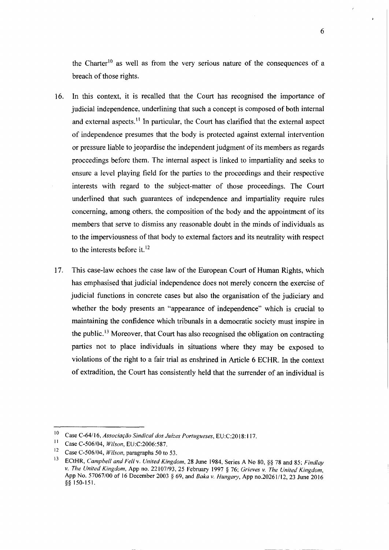the Charter<sup>10</sup> as well as from the very serious nature of the consequences of a breach of those rights.

- 16. In this context, it is recalled that the Court has recognised the importance of judicial independence, underlining that such a concept is composed of both internal and external aspects.<sup>11</sup> In particular, the Court has clarified that the external aspect of independence presumes that the body is protected against external intervention or pressure liable to jeopardise the independent judgment of its members as regards proceedings before them. The internal aspect is linked to impartiality and seeks to ensure a level playing field for the parties to the proceedings and their respective interests with regard to the subject-matter of those proceedings. The Court underlined that such guarantees of independence and impartiality require rules concerning, among others, the composition of the body and the appointment of its members that serve to dismiss any reasonable doubt in the minds of individuals as to the imperviousness of that body to external factors and its neutrality with respect to the interests before it. $12$
- 17. This case-law echoes the case law of the European Court of Human Rights, which has emphasised that judicial independence does not merely concern the exercise of judicial functions in concrete cases but also the organisation of the judiciary and whether the body presents an "appearance of independence" which is crucial to maintaining the confidence which tribunals in a democratic society must inspire in the public. <sup>13</sup> Moreover, that Court has also recognised the obligation on contracting parties not to place individuals in situations where they may be exposed to violations of the right to a fair trial as enshrined in Article 6 ECHR. In the context of extradition, the Court has consistently held that the surrender of an individual is

6

<sup>10</sup> Case C-64/16, *Associação Sindical dos Juízes Portugueses*, EU:C:2018:117.

<sup>1</sup>I Case C-506/04, *Wilson,* EU:C:2006:587.

<sup>12</sup> Case C-506/04, *Wi!son,* paragraphs 50 to 53.

<sup>13</sup> ECtHR, *Campbell and Fell* v. *United Kingdom,* 28 June 1984, Series A No 80, §§ 78 and 85; *Find/ay* v. *The United Kingdom,* App no. 22107/93, 25 February 1997 § 76; *Grieves* v. *The United Kingdom,* App No. 57067/00 of 16 December 2003 § 69, and *Baka v. Hungary,* App no.20261/12, 23 June 2016 §§ 150-151.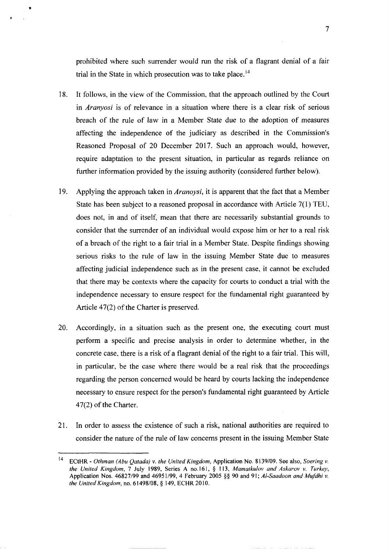prohibited where such surrender would run the risk of a flagrant denial of a fair trial in the State in which prosecution was to take place.<sup>14</sup>

•

- 18. It follows, in the view of the Commission, that the approach outlined by the Court in *Aranyosi* is of relevance in a situation where there is a clear risk of serious breach of the rule of law in a Member State due to the adoption of measures affecting the independence of the judiciary as described in the Commission's Reasoned Proposal of 20 December 2017. Such an approach would, however, require adaptation to the present situation, in particular as regards reliance on further information provided by the issuing authority (considered further below).
- 19. Applying the approach taken in *Aranoysi,* it is apparent that the fact that a Member State has been subject to a reasoned proposal in accordance with Article 7(1) TEU, does not, in and of itself, mean that there are necessarily substantial grounds to consider that the surrender of an individual would expose him or her to a real risk of a breach of the right to a fair trial in a Member State. Despite findings showing serious risks to the rule of law in the issuing Member State due to measures affecting judicial independence such as in the present case, it cannot be excluded that there may be contexts where the capacity for courts to conduct a trial with the independence necessary to ensure respect for the fundamental right guaranteed by Article 47(2) of the Charter is preserved.
- 20. Accordingly, in a situation such as the present one, the executing court must perform a specific and precise analysis in order to determine whether, in the concrete case, there is a risk of a flagrant denial of the right to a fair trial. This will, in particular, be the case where there would be a real risk that the proceedings regarding the person concerned would be heard by courts lacking the independence necessary to ensure respect for the person's fundamental right guaranteed by Article 47(2) of the Charter.
- 21. In order to assess the existence of such a risk, national authorities are required to consider the nature of the rule of law concerns present in the issuing Member State

<sup>14</sup> ECtHR - *Othman (Abu Qatada)* v. *the United Kingdom,* Application No. 8139/09. See also, *Soering* v. *the United Kingdom,* 7 July 1989, Series A no.161, § 113, *Mamatkulov and Askarov* v. *Turkey,* Application Nos. *46827/99* and *46951/99,* 4 February 2005 §§ 90 and 91; *Al-Saadoon and Mufdhi* v. *the United Kingdom,* no. 61498/08, § 149, ECHR 2010.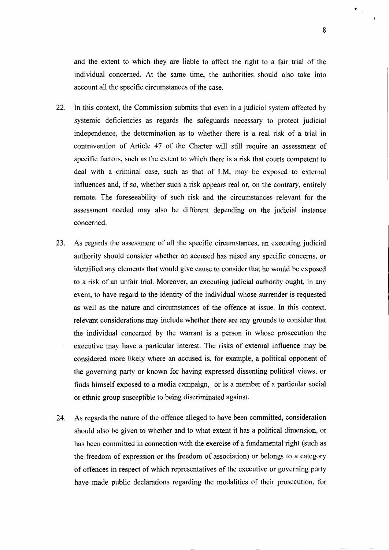and the extent to which they are liable to affect the right to a fair trial of the individual concerned. At the same time, the authorities should also take into account all the specific circumstances of the case.

- 22. In this context, the Commission submits that even in a judicial system affected by systemic deficiencies as regards the safeguards necessary to protect judicial independence, the determination as to whether there is a real risk of a trial in contravention of Article 47 of the Charter will still require an assessment of specific factors, such as the extent to which there is a risk that courts competent to deal with a criminal case, such as that of LM, may be exposed to external influences and, if so, whether such a risk appears real or, on the contrary, entirely remote. The foreseeability of such risk and the circumstances relevant for the assessment needed may also be different depending on the judicial instance concerned.
- 23. As regards the assessment of all the specific circumstances, an executing judicial authority should consider whether an accused has raised any specific concerns, or identified any elements that would give cause to consider that he would be exposed to a risk of an unfair trial. Moreover, an executing judicial authority ought, in any event, to have regard to the identity of the individual whose surrender is requested as well as the nature and circumstances of the offence at issue. In this context, relevant considerations may include whether there are any grounds to consider that the individual concerned by the warrant is a person in whose prosecution the executive may have a particular interest. The risks of external influence may be considered more likely where an accused is, for example, a political opponent of the governing party or known for having expressed dissenting political views, or finds himself exposed to a media campaign, or is a member of a particular social or ethnic group susceptible to being discriminated against.
- 24. As regards the nature of the offence alleged to have been committed, consideration should also be given to whether and to what extent it has a political dimension, or has been committed in connection with the exercise of a fundamental right (such as the freedom of expression or the freedom of association) or belongs to a category of offences in respect of which representatives of the executive or governing party have made public declarations regarding the modalities of their prosecution, for

•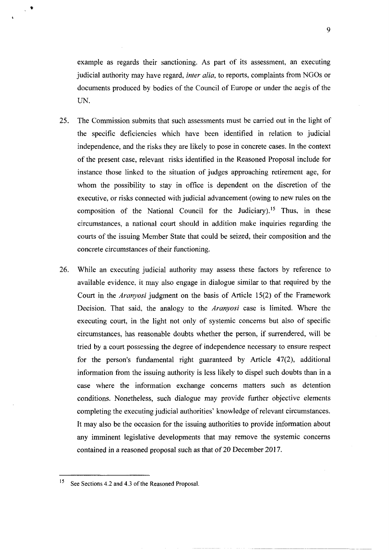example as regards their sanctioning. As part of its assessment, an executing judicial authority may have regard, *inter alia,* to reports, complaints from NGOs or documents produced by bodies of the Council of Europe or under the aegis of the UN.

 $\bullet$ 

- 25. The Commission submits that such assessments must be carried out in the light of the specific deficiencies which have been identified in relation to judicial independence, and the risks they are likely to pose in concrete cases. In the context of the present case, relevant risks identified in the Reasoned Proposal include for instance those linked to the situation of judges approaching retirement age, for whom the possibility to stay in office is dependent on the discretion of the executive, or risks connected with judicial advancement (owing to new rules on the composition of the National Council for the Judiciary).<sup>15</sup> Thus, in these circumstances, a national court should in addition make inquiries regarding the courts of the issuing Member State that could be seized, their composition and the concrete circumstances of their functioning.
- 26. While an executing judicial authority may assess these factors by reference to available evidence, it may also engage in dialogue similar to that required by the Court in the *Aranyosi* judgment on the basis of Article 15(2) of the Framework Decision. That said, the analogy to the *Aranyosi* case is limited. Where the executing court, in the light not only of systemic concerns but also of specific circumstances, has reasonable doubts whether the person, if surrendered, will be tried by a court possessing the degree of independence necessary to ensure respect for the person's fundamental right guaranteed by Article 47(2), additional information from the issuing authority is less likely to dispel such doubts than in a case where the information exchange concerns matters such as detention conditions. Nonetheless, such dialogue may provide further objective elements completing the executing judicial authorities' knowledge of relevant circumstances. It may also be the occasion for the issuing authorities to provide information about any imminent legislative developments that may remove the systemic concerns contained in a reasoned proposal such as that of 20 December 2017.

9

<sup>&</sup>lt;sup>15</sup> See Sections 4.2 and 4.3 of the Reasoned Proposal.